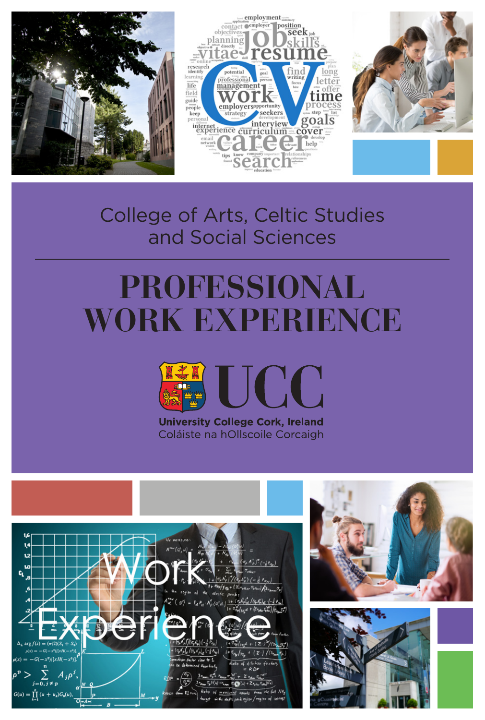





## College of Arts, Celtic Studies and Social Sciences

# **PROFESSIONAL WORK EXPERIENCE**



**University College Cork, Ireland** Coláiste na hOllscoile Corcaigh





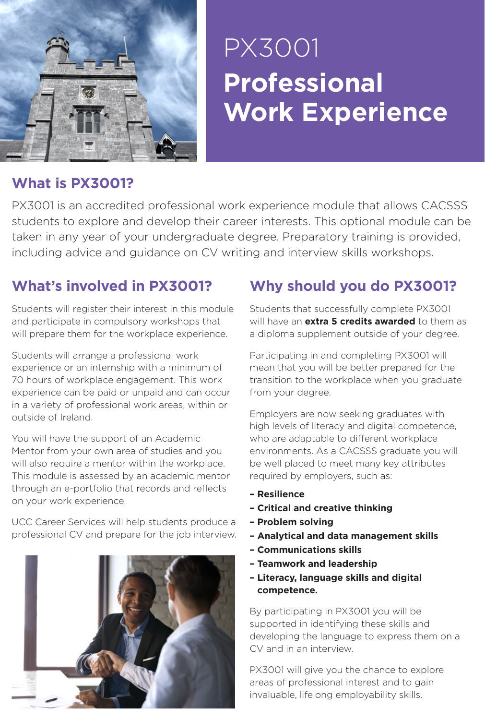

## **Professional Work Experience** PX3001

### **What is PX3001?**

PX3001 is an accredited professional work experience module that allows CACSSS students to explore and develop their career interests. This optional module can be taken in any year of your undergraduate degree. Preparatory training is provided, including advice and guidance on CV writing and interview skills workshops.

## **What's involved in PX3001?**

Students will register their interest in this module and participate in compulsory workshops that will prepare them for the workplace experience.

Students will arrange a professional work experience or an internship with a minimum of 70 hours of workplace engagement. This work experience can be paid or unpaid and can occur in a variety of professional work areas, within or outside of Ireland.

You will have the support of an Academic Mentor from your own area of studies and you will also require a mentor within the workplace. This module is assessed by an academic mentor through an e-portfolio that records and reflects on your work experience.

UCC Career Services will help students produce a professional CV and prepare for the job interview.



## **Why should you do PX3001?**

Students that successfully complete PX3001 will have an **extra 5 credits awarded** to them as a diploma supplement outside of your degree.

Participating in and completing PX3001 will mean that you will be better prepared for the transition to the workplace when you graduate from your degree.

Employers are now seeking graduates with high levels of literacy and digital competence, who are adaptable to different workplace environments. As a CACSSS graduate you will be well placed to meet many key attributes required by employers, such as:

- **Resilience**
- **Critical and creative thinking**
- **Problem solving**
- **Analytical and data management skills**
- **Communications skills**
- **Teamwork and leadership**
- **Literacy, language skills and digital competence.**

By participating in PX3001 you will be supported in identifying these skills and developing the language to express them on a CV and in an interview.

PX3001 will give you the chance to explore areas of professional interest and to gain invaluable, lifelong employability skills.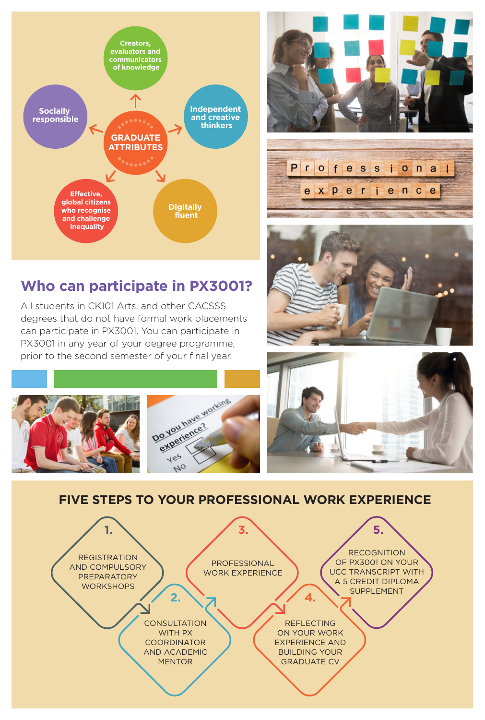

## **Who can participate in PX3001?**

All students in CK101 Arts, and other CACSSS degrees that do not have formal work placements can participate in PX3001. You can participate in PX3001 in any year of your degree programme, prior to the second semester of your final year.













**FIVE STEPS TO YOUR PROFESSIONAL WORK EXPERIENCE**